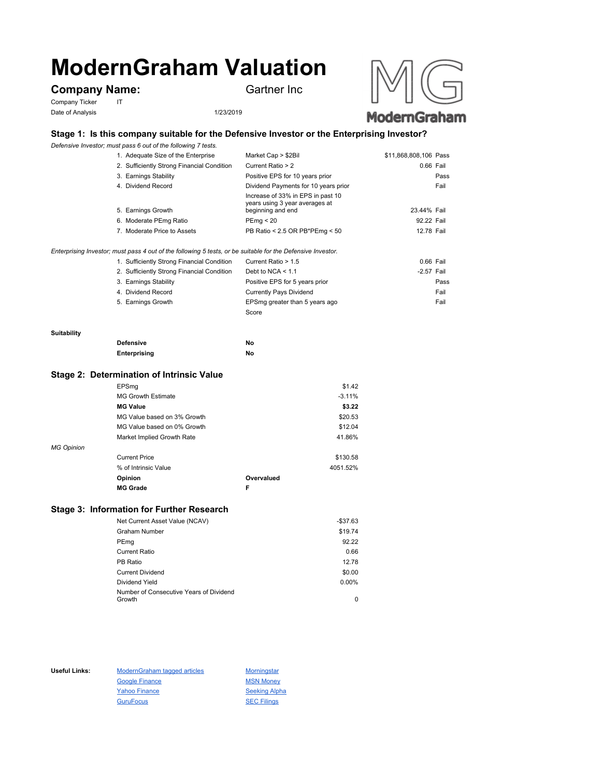# **ModernGraham Valuation**

# **Company Name:** Gartner Inc

Company Ticker IT Date of Analysis 1/23/2019



# **Stage 1: Is this company suitable for the Defensive Investor or the Enterprising Investor?**

*Defensive Investor; must pass 6 out of the following 7 tests.*

|                                                                                                             | 1. Adequate Size of the Enterprise         | Market Cap > \$2Bil                                                                      | \$11,868,808,106 Pass |      |
|-------------------------------------------------------------------------------------------------------------|--------------------------------------------|------------------------------------------------------------------------------------------|-----------------------|------|
|                                                                                                             | 2. Sufficiently Strong Financial Condition | Current Ratio > 2                                                                        | 0.66 Fail             |      |
|                                                                                                             | 3. Earnings Stability                      | Positive EPS for 10 years prior                                                          |                       | Pass |
|                                                                                                             | 4. Dividend Record                         | Dividend Payments for 10 years prior                                                     |                       | Fail |
|                                                                                                             | 5. Earnings Growth                         | Increase of 33% in EPS in past 10<br>years using 3 year averages at<br>beginning and end | 23.44% Fail           |      |
|                                                                                                             | 6. Moderate PEmg Ratio                     | PEmg < 20                                                                                | 92.22 Fail            |      |
|                                                                                                             | 7. Moderate Price to Assets                | PB Ratio < 2.5 OR PB*PEmg < 50                                                           | 12.78 Fail            |      |
| Enterprising Investor; must pass 4 out of the following 5 tests, or be suitable for the Defensive Investor. |                                            |                                                                                          |                       |      |

| 1. Sufficiently Strong Financial Condition | Current Ratio > 1.5            | 0.66 Fail    |
|--------------------------------------------|--------------------------------|--------------|
| 2. Sufficiently Strong Financial Condition | Debt to NCA $\leq 1.1$         | $-2.57$ Fail |
| 3. Earnings Stability                      | Positive EPS for 5 years prior | Pass         |
| 4. Dividend Record                         | <b>Currently Pays Dividend</b> | Fail         |
| 5. Earnings Growth                         | EPSmg greater than 5 years ago | Fail         |
|                                            | Score                          |              |

#### **Suitability**

| <b>Defensive</b> | No |
|------------------|----|
| Enterprising     | No |

### **Stage 2: Determination of Intrinsic Value**

|                   | <b>MG Grade</b>             | F          |          |
|-------------------|-----------------------------|------------|----------|
|                   | Opinion                     | Overvalued |          |
|                   | % of Intrinsic Value        |            | 4051.52% |
|                   | <b>Current Price</b>        |            | \$130.58 |
| <b>MG Opinion</b> |                             |            |          |
|                   | Market Implied Growth Rate  |            | 41.86%   |
|                   | MG Value based on 0% Growth |            | \$12.04  |
|                   | MG Value based on 3% Growth |            | \$20.53  |
|                   | <b>MG Value</b>             |            | \$3.22   |
|                   | <b>MG Growth Estimate</b>   |            | $-3.11%$ |
|                   | EPSmg                       |            | \$1.42   |

## **Stage 3: Information for Further Research**

| Net Current Asset Value (NCAV)          | $-$37.63$ |
|-----------------------------------------|-----------|
| Graham Number                           | \$19.74   |
| PEmg                                    | 92.22     |
| Current Ratio                           | 0.66      |
| PB Ratio                                | 12.78     |
| <b>Current Dividend</b>                 | \$0.00    |
| Dividend Yield                          | $0.00\%$  |
| Number of Consecutive Years of Dividend |           |
| Growth                                  | 0         |

Useful Links: ModernGraham tagged articles Morningstar Google Finance MSN Money Yahoo Finance Seeking Alpha GuruFocus SEC Filings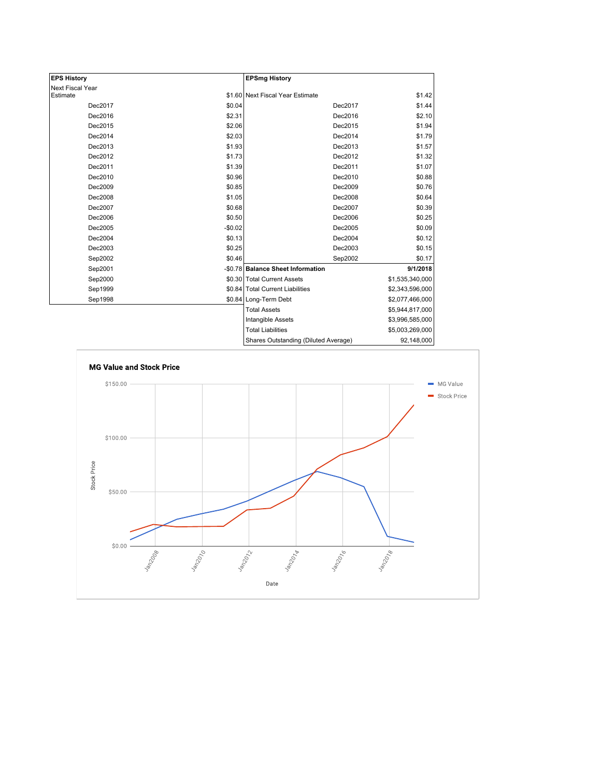| <b>EPS History</b>           |          | <b>EPSmg History</b>                 |                 |
|------------------------------|----------|--------------------------------------|-----------------|
| Next Fiscal Year<br>Estimate |          | \$1.60 Next Fiscal Year Estimate     | \$1.42          |
| Dec2017                      | \$0.04   | Dec2017                              | \$1.44          |
|                              |          |                                      |                 |
| Dec2016                      | \$2.31   | Dec2016                              | \$2.10          |
| Dec2015                      | \$2.06   | Dec2015                              | \$1.94          |
| Dec2014                      | \$2.03   | Dec2014                              | \$1.79          |
| Dec2013                      | \$1.93   | Dec2013                              | \$1.57          |
| Dec2012                      | \$1.73   | Dec2012                              | \$1.32          |
| Dec2011                      | \$1.39   | Dec2011                              | \$1.07          |
| Dec2010                      | \$0.96   | Dec2010                              | \$0.88          |
| Dec2009                      | \$0.85   | Dec2009                              | \$0.76          |
| Dec2008                      | \$1.05   | Dec2008                              | \$0.64          |
| Dec2007                      | \$0.68   | Dec2007                              | \$0.39          |
| Dec2006                      | \$0.50   | Dec2006                              | \$0.25          |
| Dec2005                      | $-$0.02$ | Dec2005                              | \$0.09          |
| Dec2004                      | \$0.13   | Dec2004                              | \$0.12          |
| Dec2003                      | \$0.25   | Dec2003                              | \$0.15          |
| Sep2002                      | \$0.46   | Sep2002                              | \$0.17          |
| Sep2001                      |          | -\$0.78 Balance Sheet Information    | 9/1/2018        |
| Sep2000                      |          | \$0.30 Total Current Assets          | \$1,535,340,000 |
| Sep1999                      |          | \$0.84 Total Current Liabilities     | \$2,343,596,000 |
| Sep1998                      |          | \$0.84 Long-Term Debt                | \$2,077,466,000 |
|                              |          | <b>Total Assets</b>                  | \$5,944,817,000 |
|                              |          | Intangible Assets                    | \$3,996,585,000 |
|                              |          | <b>Total Liabilities</b>             | \$5,003,269,000 |
|                              |          | Shares Outstanding (Diluted Average) | 92,148,000      |